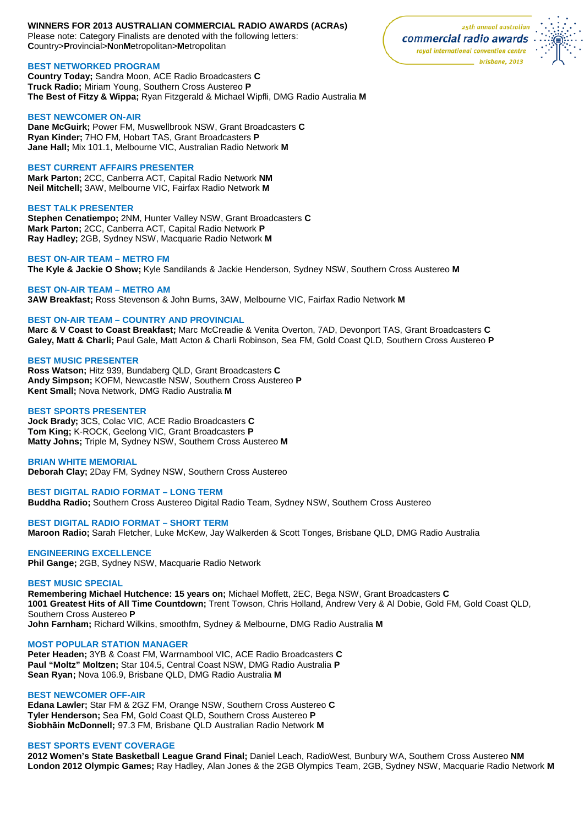#### **WINNERS FOR 2013 AUSTRALIAN COMMERCIAL RADIO AWARDS (ACRAs)**  Please note: Category Finalists are denoted with the following letters: **C**ountry>**P**rovincial>**N**on**M**etropolitan>**M**etropolitan

# **BEST NETWORKED PROGRAM**

**Country Today;** Sandra Moon, ACE Radio Broadcasters **C Truck Radio;** Miriam Young, Southern Cross Austereo **P The Best of Fitzy & Wippa;** Ryan Fitzgerald & Michael Wipfli, DMG Radio Australia **M**

#### **BEST NEWCOMER ON-AIR**

**Dane McGuirk;** Power FM, Muswellbrook NSW, Grant Broadcasters **C Ryan Kinder;** 7HO FM, Hobart TAS, Grant Broadcasters **P Jane Hall;** Mix 101.1, Melbourne VIC, Australian Radio Network **M**

# **BEST CURRENT AFFAIRS PRESENTER**

**Mark Parton;** 2CC, Canberra ACT, Capital Radio Network **NM Neil Mitchell;** 3AW, Melbourne VIC, Fairfax Radio Network **M**

#### **BEST TALK PRESENTER**

**Stephen Cenatiempo;** 2NM, Hunter Valley NSW, Grant Broadcasters **C Mark Parton;** 2CC, Canberra ACT, Capital Radio Network **P Ray Hadley;** 2GB, Sydney NSW, Macquarie Radio Network **M**

## **BEST ON-AIR TEAM – METRO FM**

**The Kyle & Jackie O Show;** Kyle Sandilands & Jackie Henderson, Sydney NSW, Southern Cross Austereo **M**

#### **BEST ON-AIR TEAM – METRO AM**

**3AW Breakfast;** Ross Stevenson & John Burns, 3AW, Melbourne VIC, Fairfax Radio Network **M**

# **BEST ON-AIR TEAM – COUNTRY AND PROVINCIAL**

**Marc & V Coast to Coast Breakfast;** Marc McCreadie & Venita Overton, 7AD, Devonport TAS, Grant Broadcasters **C Galey, Matt & Charli;** Paul Gale, Matt Acton & Charli Robinson, Sea FM, Gold Coast QLD, Southern Cross Austereo **P**

# **BEST MUSIC PRESENTER**

**Ross Watson;** Hitz 939, Bundaberg QLD, Grant Broadcasters **C Andy Simpson;** KOFM, Newcastle NSW, Southern Cross Austereo **P Kent Small;** Nova Network, DMG Radio Australia **M**

#### **BEST SPORTS PRESENTER**

**Jock Brady;** 3CS, Colac VIC, ACE Radio Broadcasters **C Tom King;** K-ROCK, Geelong VIC, Grant Broadcasters **P Matty Johns;** Triple M, Sydney NSW, Southern Cross Austereo **M**

# **BRIAN WHITE MEMORIAL**

**Deborah Clay;** 2Day FM, Sydney NSW, Southern Cross Austereo

# **BEST DIGITAL RADIO FORMAT – LONG TERM**

**Buddha Radio;** Southern Cross Austereo Digital Radio Team, Sydney NSW, Southern Cross Austereo

#### **BEST DIGITAL RADIO FORMAT – SHORT TERM**

**Maroon Radio;** Sarah Fletcher, Luke McKew, Jay Walkerden & Scott Tonges, Brisbane QLD, DMG Radio Australia

# **ENGINEERING EXCELLENCE**

**Phil Gange;** 2GB, Sydney NSW, Macquarie Radio Network

# **BEST MUSIC SPECIAL**

**Remembering Michael Hutchence: 15 years on;** Michael Moffett, 2EC, Bega NSW, Grant Broadcasters **C 1001 Greatest Hits of All Time Countdown;** Trent Towson, Chris Holland, Andrew Very & Al Dobie, Gold FM, Gold Coast QLD, Southern Cross Austereo **P**

**John Farnham;** Richard Wilkins, smoothfm, Sydney & Melbourne, DMG Radio Australia **M**

# **MOST POPULAR STATION MANAGER**

**Peter Headen;** 3YB & Coast FM, Warrnambool VIC, ACE Radio Broadcasters **C Paul "Moltz" Moltzen;** Star 104.5, Central Coast NSW, DMG Radio Australia **P Sean Ryan;** Nova 106.9, Brisbane QLD, DMG Radio Australia **M**

# **BEST NEWCOMER OFF-AIR**

**Edana Lawler;** Star FM & 2GZ FM, Orange NSW, Southern Cross Austereo **C Tyler Henderson;** Sea FM, Gold Coast QLD, Southern Cross Austereo **P Siobhāin McDonnell;** 97.3 FM, Brisbane QLD Australian Radio Network **M**

# **BEST SPORTS EVENT COVERAGE**

**2012 Women's State Basketball League Grand Final;** Daniel Leach, RadioWest, Bunbury WA, Southern Cross Austereo **NM London 2012 Olympic Games;** Ray Hadley, Alan Jones & the 2GB Olympics Team, 2GB, Sydney NSW, Macquarie Radio Network **M**

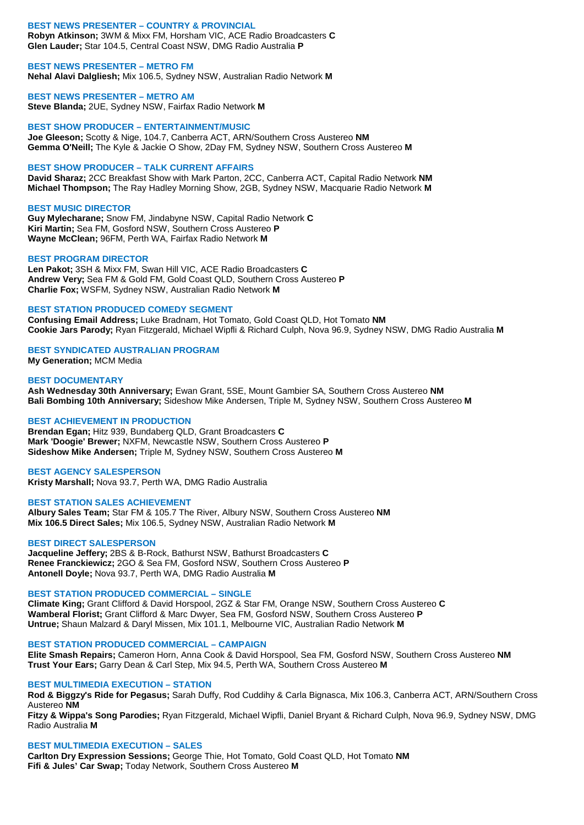#### **BEST NEWS PRESENTER – COUNTRY & PROVINCIAL Robyn Atkinson;** 3WM & Mixx FM, Horsham VIC, ACE Radio Broadcasters **C Glen Lauder;** Star 104.5, Central Coast NSW, DMG Radio Australia **P**

#### **BEST NEWS PRESENTER – METRO FM**

**Nehal Alavi Dalgliesh;** Mix 106.5, Sydney NSW, Australian Radio Network **M**

# **BEST NEWS PRESENTER – METRO AM**

**Steve Blanda;** 2UE, Sydney NSW, Fairfax Radio Network **M**

# **BEST SHOW PRODUCER – ENTERTAINMENT/MUSIC**

**Joe Gleeson;** Scotty & Nige, 104.7, Canberra ACT, ARN/Southern Cross Austereo **NM Gemma O'Neill;** The Kyle & Jackie O Show, 2Day FM, Sydney NSW, Southern Cross Austereo **M**

# **BEST SHOW PRODUCER – TALK CURRENT AFFAIRS**

**David Sharaz;** 2CC Breakfast Show with Mark Parton, 2CC, Canberra ACT, Capital Radio Network **NM Michael Thompson;** The Ray Hadley Morning Show, 2GB, Sydney NSW, Macquarie Radio Network **M**

#### **BEST MUSIC DIRECTOR**

**Guy Mylecharane;** Snow FM, Jindabyne NSW, Capital Radio Network **C Kiri Martin;** Sea FM, Gosford NSW, Southern Cross Austereo **P Wayne McClean;** 96FM, Perth WA, Fairfax Radio Network **M**

#### **BEST PROGRAM DIRECTOR**

**Len Pakot;** 3SH & Mixx FM, Swan Hill VIC, ACE Radio Broadcasters **C Andrew Very;** Sea FM & Gold FM, Gold Coast QLD, Southern Cross Austereo **P Charlie Fox;** WSFM, Sydney NSW, Australian Radio Network **M**

#### **BEST STATION PRODUCED COMEDY SEGMENT**

**Confusing Email Address;** Luke Bradnam, Hot Tomato, Gold Coast QLD, Hot Tomato **NM Cookie Jars Parody;** Ryan Fitzgerald, Michael Wipfli & Richard Culph, Nova 96.9, Sydney NSW, DMG Radio Australia **M**

# **BEST SYNDICATED AUSTRALIAN PROGRAM**

**My Generation;** MCM Media

# **BEST DOCUMENTARY**

**Ash Wednesday 30th Anniversary;** Ewan Grant, 5SE, Mount Gambier SA, Southern Cross Austereo **NM Bali Bombing 10th Anniversary;** Sideshow Mike Andersen, Triple M, Sydney NSW, Southern Cross Austereo **M**

# **BEST ACHIEVEMENT IN PRODUCTION**

**Brendan Egan;** Hitz 939, Bundaberg QLD, Grant Broadcasters **C Mark 'Doogie' Brewer;** NXFM, Newcastle NSW, Southern Cross Austereo **P Sideshow Mike Andersen;** Triple M, Sydney NSW, Southern Cross Austereo **M**

#### **BEST AGENCY SALESPERSON**

**Kristy Marshall;** Nova 93.7, Perth WA, DMG Radio Australia

# **BEST STATION SALES ACHIEVEMENT**

**Albury Sales Team;** Star FM & 105.7 The River, Albury NSW, Southern Cross Austereo **NM Mix 106.5 Direct Sales;** Mix 106.5, Sydney NSW, Australian Radio Network **M**

# **BEST DIRECT SALESPERSON**

**Jacqueline Jeffery;** 2BS & B-Rock, Bathurst NSW, Bathurst Broadcasters **C Renee Franckiewicz;** 2GO & Sea FM, Gosford NSW, Southern Cross Austereo **P Antonell Doyle;** Nova 93.7, Perth WA, DMG Radio Australia **M**

# **BEST STATION PRODUCED COMMERCIAL – SINGLE**

**Climate King;** Grant Clifford & David Horspool, 2GZ & Star FM, Orange NSW, Southern Cross Austereo **C Wamberal Florist;** Grant Clifford & Marc Dwyer, Sea FM, Gosford NSW, Southern Cross Austereo **P Untrue;** Shaun Malzard & Daryl Missen, Mix 101.1, Melbourne VIC, Australian Radio Network **M**

# **BEST STATION PRODUCED COMMERCIAL – CAMPAIGN**

**Elite Smash Repairs;** Cameron Horn, Anna Cook & David Horspool, Sea FM, Gosford NSW, Southern Cross Austereo **NM Trust Your Ears;** Garry Dean & Carl Step, Mix 94.5, Perth WA, Southern Cross Austereo **M**

# **BEST MULTIMEDIA EXECUTION – STATION**

**Rod & Biggzy's Ride for Pegasus;** Sarah Duffy, Rod Cuddihy & Carla Bignasca, Mix 106.3, Canberra ACT, ARN/Southern Cross Austereo **NM**

**Fitzy & Wippa's Song Parodies;** Ryan Fitzgerald, Michael Wipfli, Daniel Bryant & Richard Culph, Nova 96.9, Sydney NSW, DMG Radio Australia **M**

# **BEST MULTIMEDIA EXECUTION – SALES**

**Carlton Dry Expression Sessions;** George Thie, Hot Tomato, Gold Coast QLD, Hot Tomato **NM Fifi & Jules' Car Swap;** Today Network, Southern Cross Austereo **M**